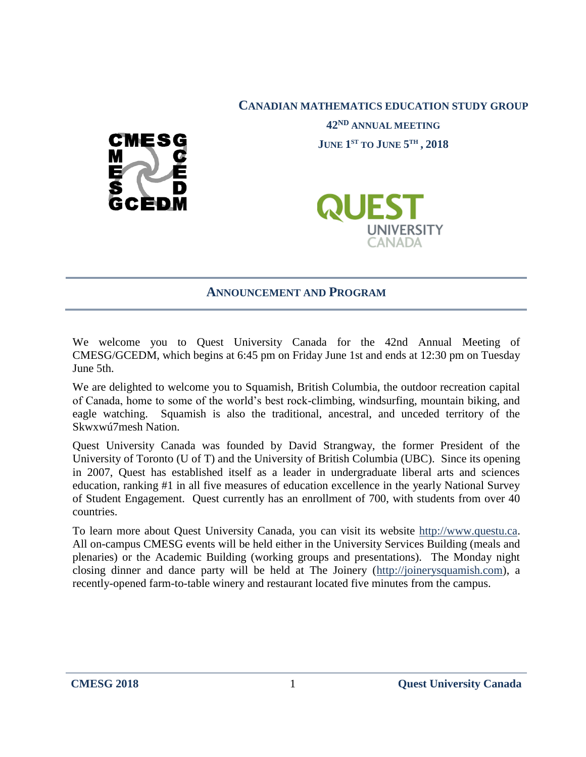

**CANADIAN MATHEMATICS EDUCATION STUDY GROUP**

**42ND ANNUAL MEETING JUNE 1 ST TO JUNE 5 TH , 2018**



## **ANNOUNCEMENT AND PROGRAM**

We welcome you to Quest University Canada for the 42nd Annual Meeting of CMESG/GCEDM, which begins at 6:45 pm on Friday June 1st and ends at 12:30 pm on Tuesday June 5th.

We are delighted to welcome you to Squamish, British Columbia, the outdoor recreation capital of Canada, home to some of the world's best rock-climbing, windsurfing, mountain biking, and eagle watching. Squamish is also the traditional, ancestral, and unceded territory of the Skwxwú7mesh Nation.

Quest University Canada was founded by David Strangway, the former President of the University of Toronto (U of T) and the University of British Columbia (UBC). Since its opening in 2007, Quest has established itself as a leader in undergraduate liberal arts and sciences education, ranking #1 in all five measures of education excellence in the yearly National Survey of Student Engagement. Quest currently has an enrollment of 700, with students from over 40 countries.

To learn more about Quest University Canada, you can visit its website [http://www.questu.ca.](http://www.questu.ca/) All on-campus CMESG events will be held either in the University Services Building (meals and plenaries) or the Academic Building (working groups and presentations). The Monday night closing dinner and dance party will be held at The Joinery [\(http://joinerysquamish.com\)](http://joinerysquamish.com/), a recently-opened farm-to-table winery and restaurant located five minutes from the campus.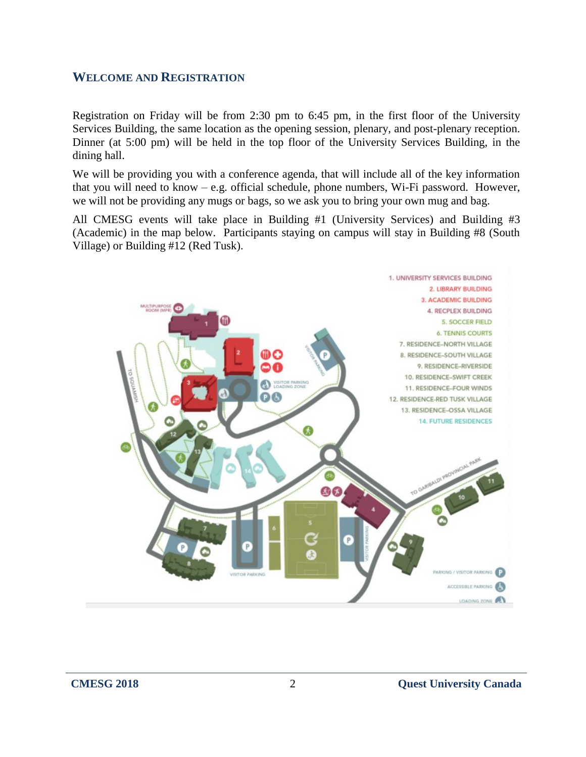#### **WELCOME AND REGISTRATION**

Registration on Friday will be from 2:30 pm to 6:45 pm, in the first floor of the University Services Building, the same location as the opening session, plenary, and post-plenary reception. Dinner (at 5:00 pm) will be held in the top floor of the University Services Building, in the dining hall.

We will be providing you with a conference agenda, that will include all of the key information that you will need to know – e.g. official schedule, phone numbers, Wi-Fi password. However, we will not be providing any mugs or bags, so we ask you to bring your own mug and bag.

All CMESG events will take place in Building #1 (University Services) and Building #3 (Academic) in the map below. Participants staying on campus will stay in Building #8 (South Village) or Building #12 (Red Tusk).

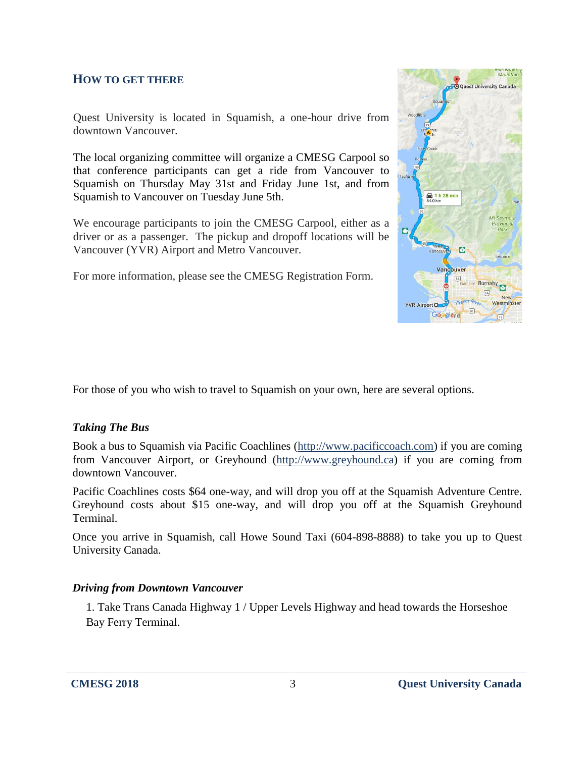# **HOW TO GET THERE**

Quest University is located in Squamish, a one-hour drive from downtown Vancouver.

The local organizing committee will organize a CMESG Carpool so that conference participants can get a ride from Vancouver to Squamish on Thursday May 31st and Friday June 1st, and from Squamish to Vancouver on Tuesday June 5th.

We encourage participants to join the CMESG Carpool, either as a driver or as a passenger. The pickup and dropoff locations will be Vancouver (YVR) Airport and Metro Vancouver.

For more information, please see the CMESG Registration Form.



For those of you who wish to travel to Squamish on your own, here are several options.

#### *Taking The Bus*

Book a bus to Squamish via Pacific Coachlines [\(http://www.pacificcoach.com\)](http://www.pacificcoach.com/) if you are coming from Vancouver Airport, or Greyhound [\(http://www.greyhound.ca\)](http://www.greyhound.ca/) if you are coming from downtown Vancouver.

Pacific Coachlines costs \$64 one-way, and will drop you off at the Squamish Adventure Centre. Greyhound costs about \$15 one-way, and will drop you off at the Squamish Greyhound Terminal.

Once you arrive in Squamish, call Howe Sound Taxi (604-898-8888) to take you up to Quest University Canada.

#### *Driving from Downtown Vancouver*

1. Take Trans Canada Highway 1 / Upper Levels Highway and head towards the Horseshoe Bay Ferry Terminal.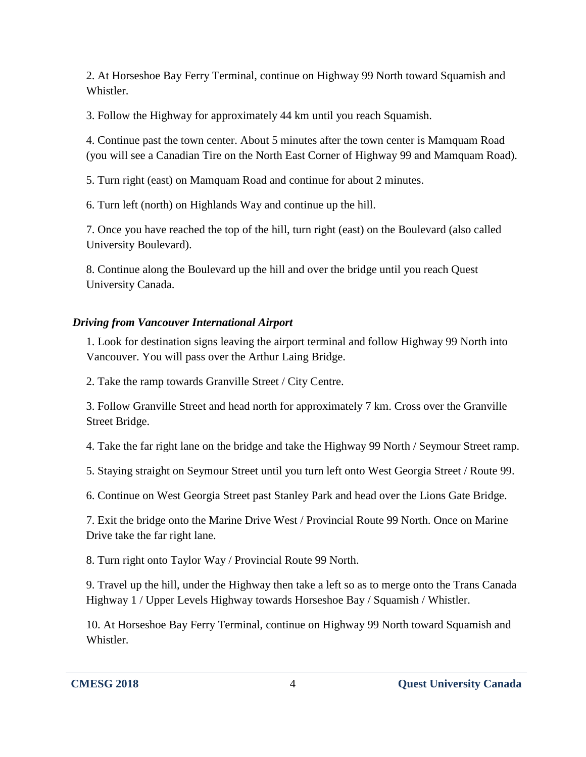2. At Horseshoe Bay Ferry Terminal, continue on Highway 99 North toward Squamish and Whistler.

3. Follow the Highway for approximately 44 km until you reach Squamish.

4. Continue past the town center. About 5 minutes after the town center is Mamquam Road (you will see a Canadian Tire on the North East Corner of Highway 99 and Mamquam Road).

5. Turn right (east) on Mamquam Road and continue for about 2 minutes.

6. Turn left (north) on Highlands Way and continue up the hill.

7. Once you have reached the top of the hill, turn right (east) on the Boulevard (also called University Boulevard).

8. Continue along the Boulevard up the hill and over the bridge until you reach Quest University Canada.

# *Driving from Vancouver International Airport*

1. Look for destination signs leaving the airport terminal and follow Highway 99 North into Vancouver. You will pass over the Arthur Laing Bridge.

2. Take the ramp towards Granville Street / City Centre.

3. Follow Granville Street and head north for approximately 7 km. Cross over the Granville Street Bridge.

4. Take the far right lane on the bridge and take the Highway 99 North / Seymour Street ramp.

5. Staying straight on Seymour Street until you turn left onto West Georgia Street / Route 99.

6. Continue on West Georgia Street past Stanley Park and head over the Lions Gate Bridge.

7. Exit the bridge onto the Marine Drive West / Provincial Route 99 North. Once on Marine Drive take the far right lane.

8. Turn right onto Taylor Way / Provincial Route 99 North.

9. Travel up the hill, under the Highway then take a left so as to merge onto the Trans Canada Highway 1 / Upper Levels Highway towards Horseshoe Bay / Squamish / Whistler.

10. At Horseshoe Bay Ferry Terminal, continue on Highway 99 North toward Squamish and Whistler.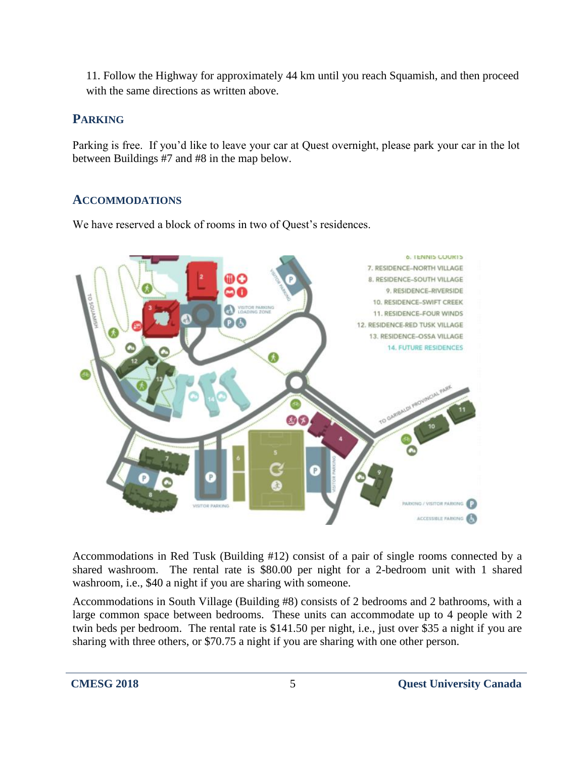11. Follow the Highway for approximately 44 km until you reach Squamish, and then proceed with the same directions as written above.

# **PARKING**

Parking is free. If you'd like to leave your car at Quest overnight, please park your car in the lot between Buildings #7 and #8 in the map below.

# **ACCOMMODATIONS**

We have reserved a block of rooms in two of Quest's residences.



Accommodations in Red Tusk (Building #12) consist of a pair of single rooms connected by a shared washroom. The rental rate is \$80.00 per night for a 2-bedroom unit with 1 shared washroom, i.e., \$40 a night if you are sharing with someone.

Accommodations in South Village (Building #8) consists of 2 bedrooms and 2 bathrooms, with a large common space between bedrooms. These units can accommodate up to 4 people with 2 twin beds per bedroom. The rental rate is \$141.50 per night, i.e., just over \$35 a night if you are sharing with three others, or \$70.75 a night if you are sharing with one other person.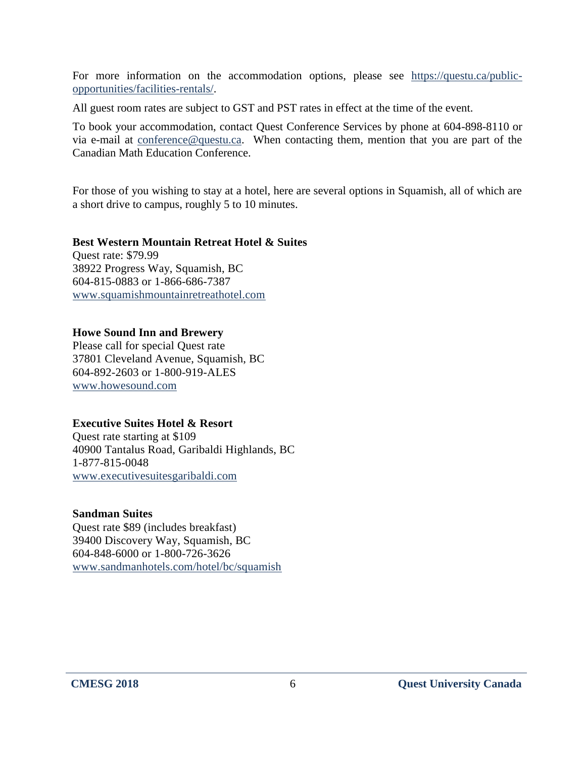For more information on the accommodation options, please see [https://questu.ca/public](https://questu.ca/public-opportunities/facilities-rentals/)[opportunities/facilities-rentals/.](https://questu.ca/public-opportunities/facilities-rentals/)

All guest room rates are subject to GST and PST rates in effect at the time of the event.

To book your accommodation, contact Quest Conference Services by phone at 604-898-8110 or via e-mail at [conference@questu.ca.](mailto:conference@questu.ca) When contacting them, mention that you are part of the Canadian Math Education Conference.

For those of you wishing to stay at a hotel, here are several options in Squamish, all of which are a short drive to campus, roughly 5 to 10 minutes.

#### **Best Western Mountain Retreat Hotel & Suites** Quest rate: \$79.99 38922 Progress Way, Squamish, BC 604-815-0883 or 1-866-686-7387 [www.squamishmountainretreathotel.com](http://www.squamishmountainretreathotel.com/)

#### **Howe Sound Inn and Brewery**

Please call for special Quest rate 37801 Cleveland Avenue, Squamish, BC 604-892-2603 or 1-800-919-ALES [www.howesound.com](http://www.howesound.com/)

## **Executive Suites Hotel & Resort**

Quest rate starting at \$109 40900 Tantalus Road, Garibaldi Highlands, BC 1-877-815-0048 [www.executivesuitesgaribaldi.com](http://www.executivesuitesgaribaldi.com/)

#### **Sandman Suites**

Quest rate \$89 (includes breakfast) 39400 Discovery Way, Squamish, BC 604-848-6000 or 1-800-726-3626 [www.sandmanhotels.com/hotel/bc/squamish](http://www.sandmanhotels.com/hotel/bc/squamish)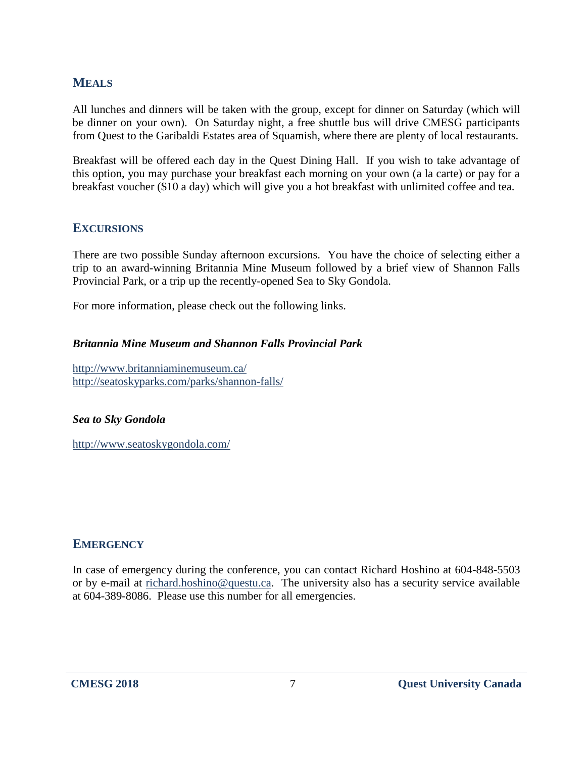# **MEALS**

All lunches and dinners will be taken with the group, except for dinner on Saturday (which will be dinner on your own). On Saturday night, a free shuttle bus will drive CMESG participants from Quest to the Garibaldi Estates area of Squamish, where there are plenty of local restaurants.

Breakfast will be offered each day in the Quest Dining Hall. If you wish to take advantage of this option, you may purchase your breakfast each morning on your own (a la carte) or pay for a breakfast voucher (\$10 a day) which will give you a hot breakfast with unlimited coffee and tea.

# **EXCURSIONS**

There are two possible Sunday afternoon excursions. You have the choice of selecting either a trip to an award-winning Britannia Mine Museum followed by a brief view of Shannon Falls Provincial Park, or a trip up the recently-opened Sea to Sky Gondola.

For more information, please check out the following links.

#### *Britannia Mine Museum and Shannon Falls Provincial Park*

<http://www.britanniaminemuseum.ca/> <http://seatoskyparks.com/parks/shannon-falls/>

#### *Sea to Sky Gondola*

<http://www.seatoskygondola.com/>

## **EMERGENCY**

In case of emergency during the conference, you can contact Richard Hoshino at 604-848-5503 or by e-mail at [richard.hoshino@questu.ca.](mailto:richard.hoshino@questu.ca) The university also has a security service available at 604-389-8086. Please use this number for all emergencies.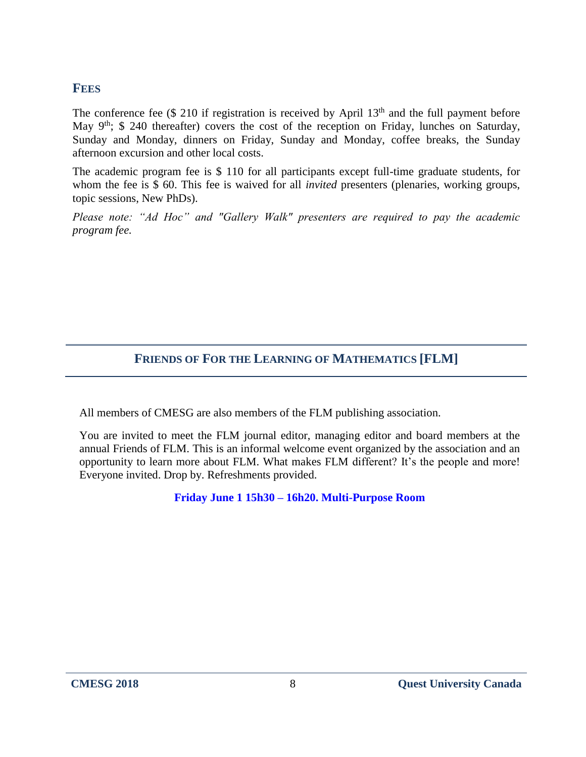## **FEES**

The conference fee  $(\$ 210$  if registration is received by April  $13<sup>th</sup>$  and the full payment before May 9<sup>th</sup>; \$ 240 thereafter) covers the cost of the reception on Friday, lunches on Saturday, Sunday and Monday, dinners on Friday, Sunday and Monday, coffee breaks, the Sunday afternoon excursion and other local costs.

The academic program fee is \$ 110 for all participants except full-time graduate students, for whom the fee is \$ 60. This fee is waived for all *invited* presenters (plenaries, working groups, topic sessions, New PhDs).

*Please note: "Ad Hoc" and "Gallery Walk" presenters are required to pay the academic program fee.* 

# **FRIENDS OF FOR THE LEARNING OF MATHEMATICS [FLM]**

All members of CMESG are also members of the FLM publishing association.

You are invited to meet the FLM journal editor, managing editor and board members at the annual Friends of FLM. This is an informal welcome event organized by the association and an opportunity to learn more about FLM. What makes FLM different? It's the people and more! Everyone invited. Drop by. Refreshments provided.

**Friday June 1 15h30 – 16h20. Multi-Purpose Room**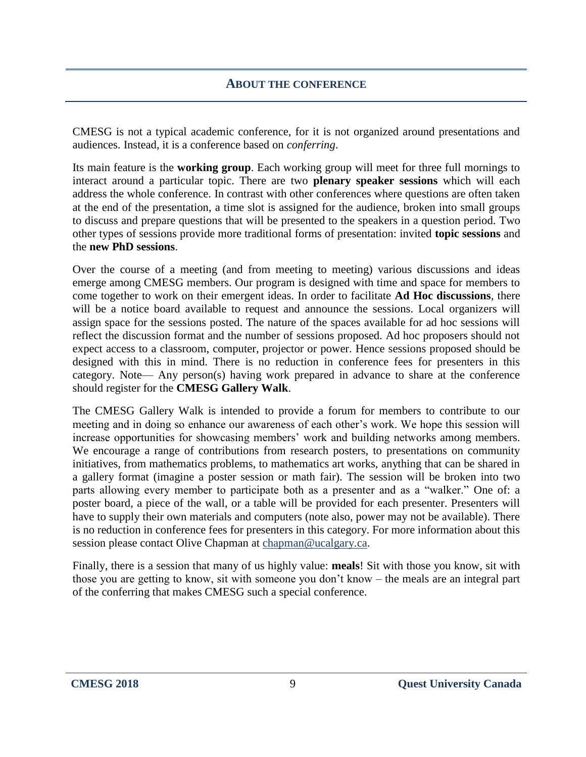#### **ABOUT THE CONFERENCE**

CMESG is not a typical academic conference, for it is not organized around presentations and audiences. Instead, it is a conference based on *conferring*.

Its main feature is the **working group**. Each working group will meet for three full mornings to interact around a particular topic. There are two **plenary speaker sessions** which will each address the whole conference. In contrast with other conferences where questions are often taken at the end of the presentation, a time slot is assigned for the audience, broken into small groups to discuss and prepare questions that will be presented to the speakers in a question period. Two other types of sessions provide more traditional forms of presentation: invited **topic sessions** and the **new PhD sessions**.

Over the course of a meeting (and from meeting to meeting) various discussions and ideas emerge among CMESG members. Our program is designed with time and space for members to come together to work on their emergent ideas. In order to facilitate **Ad Hoc discussions**, there will be a notice board available to request and announce the sessions. Local organizers will assign space for the sessions posted. The nature of the spaces available for ad hoc sessions will reflect the discussion format and the number of sessions proposed. Ad hoc proposers should not expect access to a classroom, computer, projector or power. Hence sessions proposed should be designed with this in mind. There is no reduction in conference fees for presenters in this category. Note— Any person(s) having work prepared in advance to share at the conference should register for the **CMESG Gallery Walk**.

The CMESG Gallery Walk is intended to provide a forum for members to contribute to our meeting and in doing so enhance our awareness of each other's work. We hope this session will increase opportunities for showcasing members' work and building networks among members. We encourage a range of contributions from research posters, to presentations on community initiatives, from mathematics problems, to mathematics art works, anything that can be shared in a gallery format (imagine a poster session or math fair). The session will be broken into two parts allowing every member to participate both as a presenter and as a "walker." One of: a poster board, a piece of the wall, or a table will be provided for each presenter. Presenters will have to supply their own materials and computers (note also, power may not be available). There is no reduction in conference fees for presenters in this category. For more information about this session please contact Olive Chapman at [chapman@ucalgary.ca.](mailto:chapman@ucalgary.ca)

Finally, there is a session that many of us highly value: **meals**! Sit with those you know, sit with those you are getting to know, sit with someone you don't know – the meals are an integral part of the conferring that makes CMESG such a special conference.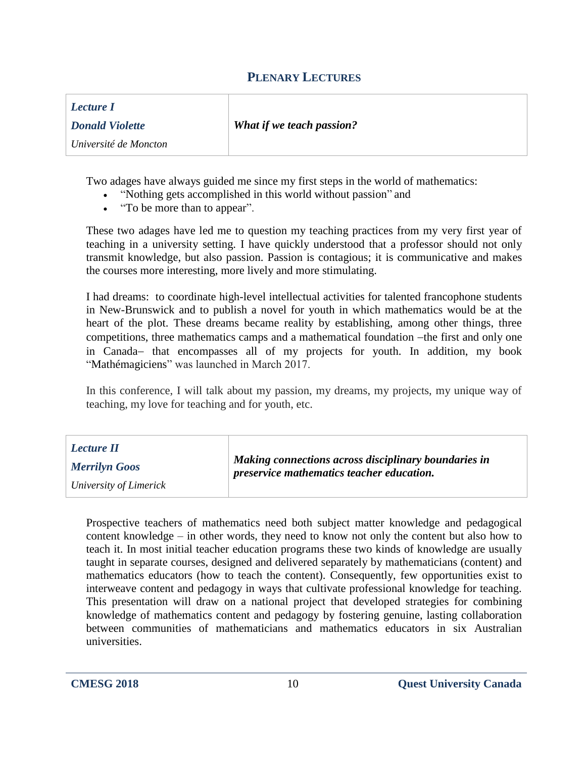## **PLENARY LECTURES**

| Lecture I              |                                  |
|------------------------|----------------------------------|
| <b>Donald Violette</b> | <b>What if we teach passion?</b> |
| Université de Moncton  |                                  |

Two adages have always guided me since my first steps in the world of mathematics:

- "Nothing gets accomplished in this world without passion" and
- "To be more than to appear".

These two adages have led me to question my teaching practices from my very first year of teaching in a university setting. I have quickly understood that a professor should not only transmit knowledge, but also passion. Passion is contagious; it is communicative and makes the courses more interesting, more lively and more stimulating.

I had dreams: to coordinate high-level intellectual activities for talented francophone students in New-Brunswick and to publish a novel for youth in which mathematics would be at the heart of the plot. These dreams became reality by establishing, among other things, three competitions, three mathematics camps and a mathematical foundation -the first and only one in Canada- that encompasses all of my projects for youth. In addition, my book "Mathémagiciens" was launched in March 2017.

In this conference, I will talk about my passion, my dreams, my projects, my unique way of teaching, my love for teaching and for youth, etc.

| Lecture II<br><b>Merrilyn Goos</b> | Making connections across disciplinary boundaries in<br>preservice mathematics teacher education. |
|------------------------------------|---------------------------------------------------------------------------------------------------|
| University of Limerick             |                                                                                                   |

Prospective teachers of mathematics need both subject matter knowledge and pedagogical content knowledge – in other words, they need to know not only the content but also how to teach it. In most initial teacher education programs these two kinds of knowledge are usually taught in separate courses, designed and delivered separately by mathematicians (content) and mathematics educators (how to teach the content). Consequently, few opportunities exist to interweave content and pedagogy in ways that cultivate professional knowledge for teaching. This presentation will draw on a national project that developed strategies for combining knowledge of mathematics content and pedagogy by fostering genuine, lasting collaboration between communities of mathematicians and mathematics educators in six Australian universities.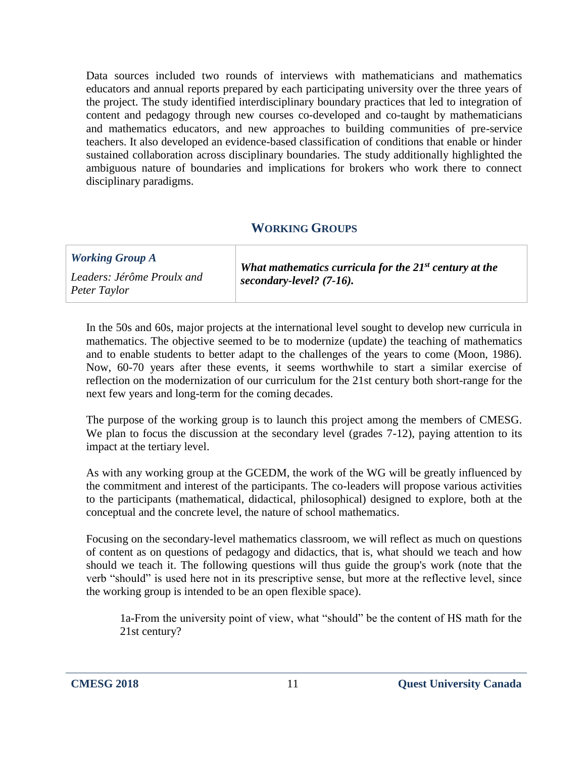Data sources included two rounds of interviews with mathematicians and mathematics educators and annual reports prepared by each participating university over the three years of the project. The study identified interdisciplinary boundary practices that led to integration of content and pedagogy through new courses co-developed and co-taught by mathematicians and mathematics educators, and new approaches to building communities of pre-service teachers. It also developed an evidence-based classification of conditions that enable or hinder sustained collaboration across disciplinary boundaries. The study additionally highlighted the ambiguous nature of boundaries and implications for brokers who work there to connect disciplinary paradigms.

# **WORKING GROUPS**

| <b>Working Group A</b>                     | What mathematics curricula for the $21^{st}$ century at the |
|--------------------------------------------|-------------------------------------------------------------|
| Leaders: Jérôme Proulx and<br>Peter Taylor | secondary-level? $(7-16)$ .                                 |

In the 50s and 60s, major projects at the international level sought to develop new curricula in mathematics. The objective seemed to be to modernize (update) the teaching of mathematics and to enable students to better adapt to the challenges of the years to come (Moon, 1986). Now, 60-70 years after these events, it seems worthwhile to start a similar exercise of reflection on the modernization of our curriculum for the 21st century both short-range for the next few years and long-term for the coming decades.

The purpose of the working group is to launch this project among the members of CMESG. We plan to focus the discussion at the secondary level (grades 7-12), paying attention to its impact at the tertiary level.

As with any working group at the GCEDM, the work of the WG will be greatly influenced by the commitment and interest of the participants. The co-leaders will propose various activities to the participants (mathematical, didactical, philosophical) designed to explore, both at the conceptual and the concrete level, the nature of school mathematics.

Focusing on the secondary-level mathematics classroom, we will reflect as much on questions of content as on questions of pedagogy and didactics, that is, what should we teach and how should we teach it. The following questions will thus guide the group's work (note that the verb "should" is used here not in its prescriptive sense, but more at the reflective level, since the working group is intended to be an open flexible space).

1a-From the university point of view, what "should" be the content of HS math for the 21st century?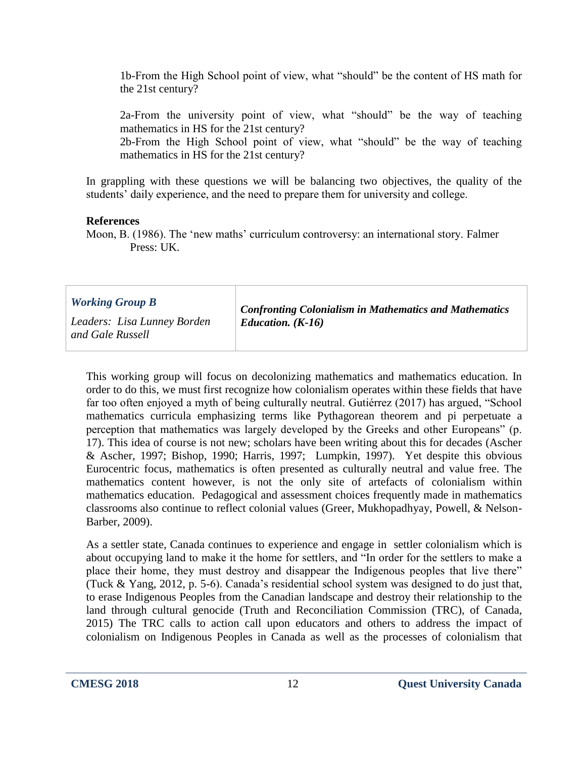1b-From the High School point of view, what "should" be the content of HS math for the 21st century?

2a-From the university point of view, what "should" be the way of teaching mathematics in HS for the 21st century?

2b-From the High School point of view, what "should" be the way of teaching mathematics in HS for the 21st century?

In grappling with these questions we will be balancing two objectives, the quality of the students' daily experience, and the need to prepare them for university and college.

#### **References**

Moon, B. (1986). The 'new maths' curriculum controversy: an international story. Falmer Press: UK.

| <b>Working Group B</b>                          | <b>Confronting Colonialism in Mathematics and Mathematics</b><br>Education. $(K-16)$ |
|-------------------------------------------------|--------------------------------------------------------------------------------------|
| Leaders: Lisa Lunney Borden<br>and Gale Russell |                                                                                      |

This working group will focus on decolonizing mathematics and mathematics education. In order to do this, we must first recognize how colonialism operates within these fields that have far too often enjoyed a myth of being culturally neutral. Gutiérrez (2017) has argued, "School mathematics curricula emphasizing terms like Pythagorean theorem and pi perpetuate a perception that mathematics was largely developed by the Greeks and other Europeans" (p. 17). This idea of course is not new; scholars have been writing about this for decades (Ascher & Ascher, 1997; Bishop, 1990; Harris, 1997; Lumpkin, 1997). Yet despite this obvious Eurocentric focus, mathematics is often presented as culturally neutral and value free. The mathematics content however, is not the only site of artefacts of colonialism within mathematics education. Pedagogical and assessment choices frequently made in mathematics classrooms also continue to reflect colonial values (Greer, Mukhopadhyay, Powell, & Nelson-Barber, 2009).

As a settler state, Canada continues to experience and engage in settler colonialism which is about occupying land to make it the home for settlers, and "In order for the settlers to make a place their home, they must destroy and disappear the Indigenous peoples that live there" (Tuck & Yang, 2012, p. 5-6). Canada's residential school system was designed to do just that, to erase Indigenous Peoples from the Canadian landscape and destroy their relationship to the land through cultural genocide (Truth and Reconciliation Commission (TRC), of Canada, 2015) The TRC calls to action call upon educators and others to address the impact of colonialism on Indigenous Peoples in Canada as well as the processes of colonialism that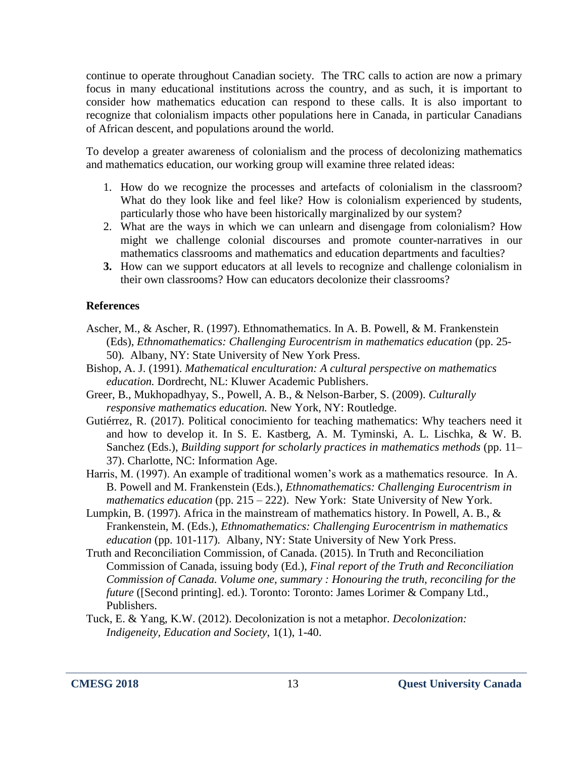continue to operate throughout Canadian society. The TRC calls to action are now a primary focus in many educational institutions across the country, and as such, it is important to consider how mathematics education can respond to these calls. It is also important to recognize that colonialism impacts other populations here in Canada, in particular Canadians of African descent, and populations around the world.

To develop a greater awareness of colonialism and the process of decolonizing mathematics and mathematics education, our working group will examine three related ideas:

- 1. How do we recognize the processes and artefacts of colonialism in the classroom? What do they look like and feel like? How is colonialism experienced by students, particularly those who have been historically marginalized by our system?
- 2. What are the ways in which we can unlearn and disengage from colonialism? How might we challenge colonial discourses and promote counter-narratives in our mathematics classrooms and mathematics and education departments and faculties?
- **3.** How can we support educators at all levels to recognize and challenge colonialism in their own classrooms? How can educators decolonize their classrooms?

#### **References**

- Ascher, M., & Ascher, R. (1997). Ethnomathematics. In A. B. Powell, & M. Frankenstein (Eds), *Ethnomathematics: Challenging Eurocentrism in mathematics education* (pp. 25- 50)*.* Albany, NY: State University of New York Press.
- Bishop, A. J. (1991). *Mathematical enculturation: A cultural perspective on mathematics education.* Dordrecht, NL: Kluwer Academic Publishers.
- Greer, B., Mukhopadhyay, S., Powell, A. B., & Nelson-Barber, S. (2009). *Culturally responsive mathematics education.* New York, NY: Routledge.
- Gutiérrez, R. (2017). Political conocimiento for teaching mathematics: Why teachers need it and how to develop it. In S. E. Kastberg, A. M. Tyminski, A. L. Lischka, & W. B. Sanchez (Eds.), *Building support for scholarly practices in mathematics methods* (pp. 11– 37). Charlotte, NC: Information Age.
- Harris, M. (1997). An example of traditional women's work as a mathematics resource. In A. B. Powell and M. Frankenstein (Eds.), *Ethnomathematics: Challenging Eurocentrism in mathematics education* (pp. 215 – 222). New York: State University of New York.
- Lumpkin, B. (1997). Africa in the mainstream of mathematics history. In Powell, A. B., & Frankenstein, M. (Eds.), *Ethnomathematics: Challenging Eurocentrism in mathematics education* (pp. 101-117)*.* Albany, NY: State University of New York Press.
- Truth and Reconciliation Commission, of Canada. (2015). In Truth and Reconciliation Commission of Canada, issuing body (Ed.), *Final report of the Truth and Reconciliation Commission of Canada. Volume one, summary : Honouring the truth, reconciling for the future* ([Second printing]. ed.). Toronto: Toronto: James Lorimer & Company Ltd., Publishers.
- Tuck, E. & Yang, K.W. (2012). Decolonization is not a metaphor. *Decolonization: Indigeneity, Education and Society*, 1(1), 1-40.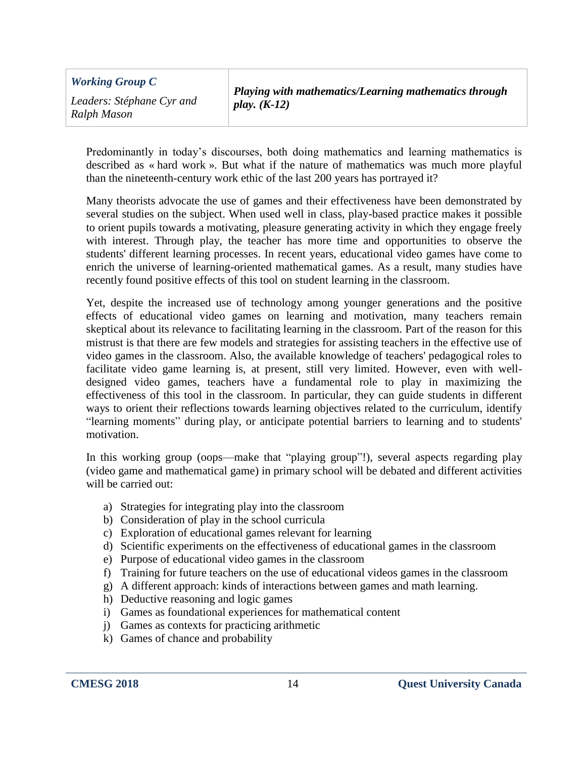| <b>Working Group C</b>                   | Playing with mathematics/Learning mathematics through |
|------------------------------------------|-------------------------------------------------------|
| Leaders: Stéphane Cyr and<br>Ralph Mason | play. $(K-12)$                                        |

Predominantly in today's discourses, both doing mathematics and learning mathematics is described as « hard work ». But what if the nature of mathematics was much more playful than the nineteenth-century work ethic of the last 200 years has portrayed it?

Many theorists advocate the use of games and their effectiveness have been demonstrated by several studies on the subject. When used well in class, play-based practice makes it possible to orient pupils towards a motivating, pleasure generating activity in which they engage freely with interest. Through play, the teacher has more time and opportunities to observe the students' different learning processes. In recent years, educational video games have come to enrich the universe of learning-oriented mathematical games. As a result, many studies have recently found positive effects of this tool on student learning in the classroom.

Yet, despite the increased use of technology among younger generations and the positive effects of educational video games on learning and motivation, many teachers remain skeptical about its relevance to facilitating learning in the classroom. Part of the reason for this mistrust is that there are few models and strategies for assisting teachers in the effective use of video games in the classroom. Also, the available knowledge of teachers' pedagogical roles to facilitate video game learning is, at present, still very limited. However, even with welldesigned video games, teachers have a fundamental role to play in maximizing the effectiveness of this tool in the classroom. In particular, they can guide students in different ways to orient their reflections towards learning objectives related to the curriculum, identify "learning moments" during play, or anticipate potential barriers to learning and to students' motivation.

In this working group (oops—make that "playing group"!), several aspects regarding play (video game and mathematical game) in primary school will be debated and different activities will be carried out:

- a) Strategies for integrating play into the classroom
- b) Consideration of play in the school curricula
- c) Exploration of educational games relevant for learning
- d) Scientific experiments on the effectiveness of educational games in the classroom
- e) Purpose of educational video games in the classroom
- f) Training for future teachers on the use of educational videos games in the classroom
- g) A different approach: kinds of interactions between games and math learning.
- h) Deductive reasoning and logic games
- i) Games as foundational experiences for mathematical content
- j) Games as contexts for practicing arithmetic
- k) Games of chance and probability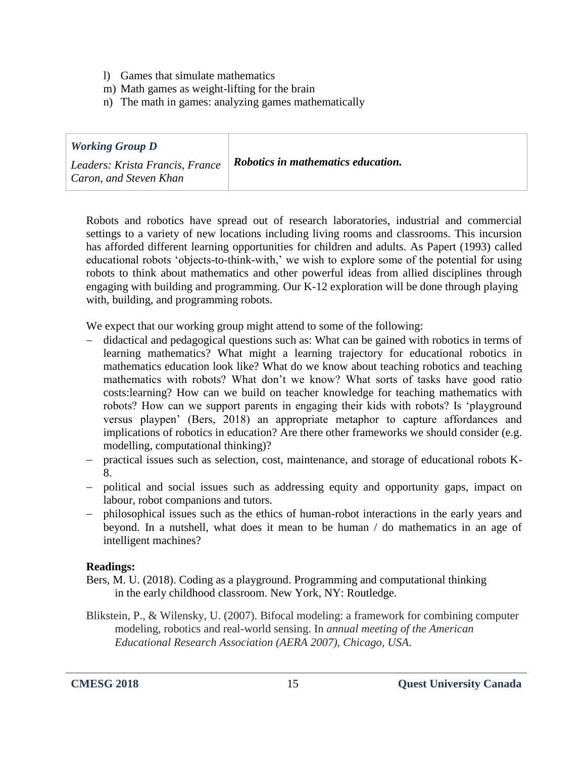- l) Games that simulate mathematics
- m) Math games as weight-lifting for the brain
- n) The math in games: analyzing games mathematically

| <b>Working Group D</b>          |                                    |
|---------------------------------|------------------------------------|
| Leaders: Krista Francis, France | Robotics in mathematics education. |
| Caron, and Steven Khan          |                                    |

Robots and robotics have spread out of research laboratories, industrial and commercial settings to a variety of new locations including living rooms and classrooms. This incursion has afforded different learning opportunities for children and adults. As Papert (1993) called educational robots 'objects-to-think-with,' we wish to explore some of the potential for using robots to think about mathematics and other powerful ideas from allied disciplines through engaging with building and programming. Our K-12 exploration will be done through playing with, building, and programming robots.

We expect that our working group might attend to some of the following:

- didactical and pedagogical questions such as: What can be gained with robotics in terms of learning mathematics? What might a learning trajectory for educational robotics in mathematics education look like? What do we know about teaching robotics and teaching mathematics with robots? What don't we know? What sorts of tasks have good ratio costs:learning? How can we build on teacher knowledge for teaching mathematics with robots? How can we support parents in engaging their kids with robots? Is 'playground versus playpen' (Bers, 2018) an appropriate metaphor to capture affordances and implications of robotics in education? Are there other frameworks we should consider (e.g. modelling, computational thinking)?
- practical issues such as selection, cost, maintenance, and storage of educational robots K-8.
- political and social issues such as addressing equity and opportunity gaps, impact on labour, robot companions and tutors.
- philosophical issues such as the ethics of human-robot interactions in the early years and beyond. In a nutshell, what does it mean to be human / do mathematics in an age of intelligent machines?

#### **Readings:**

- Bers, M. U. (2018). Coding as a playground. Programming and computational thinking in the early childhood classroom. New York, NY: Routledge.
- Blikstein, P., & Wilensky, U. (2007). Bifocal modeling: a framework for combining computer modeling, robotics and real-world sensing. In *annual meeting of the American Educational Research Association (AERA 2007), Chicago, USA*.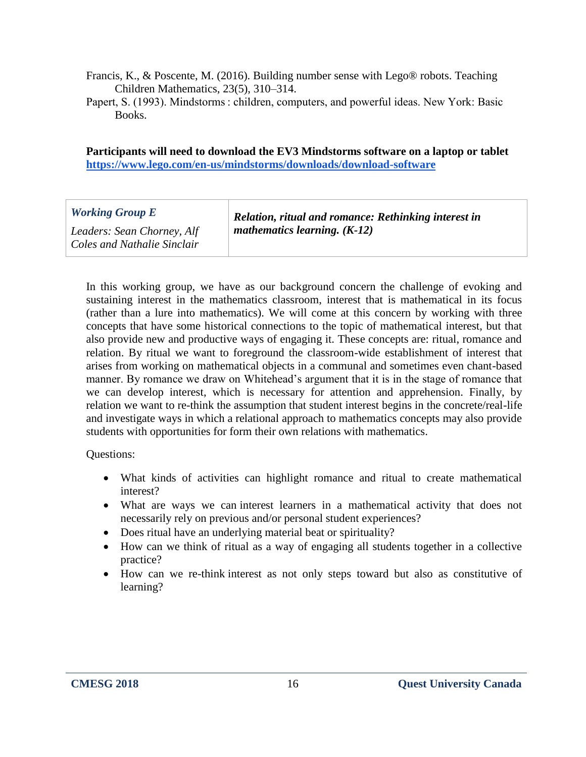- Francis, K., & Poscente, M. (2016). Building number sense with Lego® robots. Teaching Children Mathematics, 23(5), 310–314.
- Papert, S. (1993). Mindstorms : children, computers, and powerful ideas. New York: Basic Books.

**Participants will need to download the EV3 Mindstorms software on a laptop or tablet <https://www.lego.com/en-us/mindstorms/downloads/download-software>**

| <b>Working Group E</b>                                    | Relation, ritual and romance: Rethinking interest in |
|-----------------------------------------------------------|------------------------------------------------------|
| Leaders: Sean Chorney, Alf<br>Coles and Nathalie Sinclair | mathematics learning. $(K-12)$                       |

In this working group, we have as our background concern the challenge of evoking and sustaining interest in the mathematics classroom, interest that is mathematical in its focus (rather than a lure into mathematics). We will come at this concern by working with three concepts that have some historical connections to the topic of mathematical interest, but that also provide new and productive ways of engaging it. These concepts are: ritual, romance and relation. By ritual we want to foreground the classroom-wide establishment of interest that arises from working on mathematical objects in a communal and sometimes even chant-based manner. By romance we draw on Whitehead's argument that it is in the stage of romance that we can develop interest, which is necessary for attention and apprehension. Finally, by relation we want to re-think the assumption that student interest begins in the concrete/real-life and investigate ways in which a relational approach to mathematics concepts may also provide students with opportunities for form their own relations with mathematics.

#### Questions:

- What kinds of activities can highlight romance and ritual to create mathematical interest?
- What are ways we can interest learners in a mathematical activity that does not necessarily rely on previous and/or personal student experiences?
- Does ritual have an underlying material beat or spirituality?
- How can we think of ritual as a way of engaging all students together in a collective practice?
- How can we re-think interest as not only steps toward but also as constitutive of learning?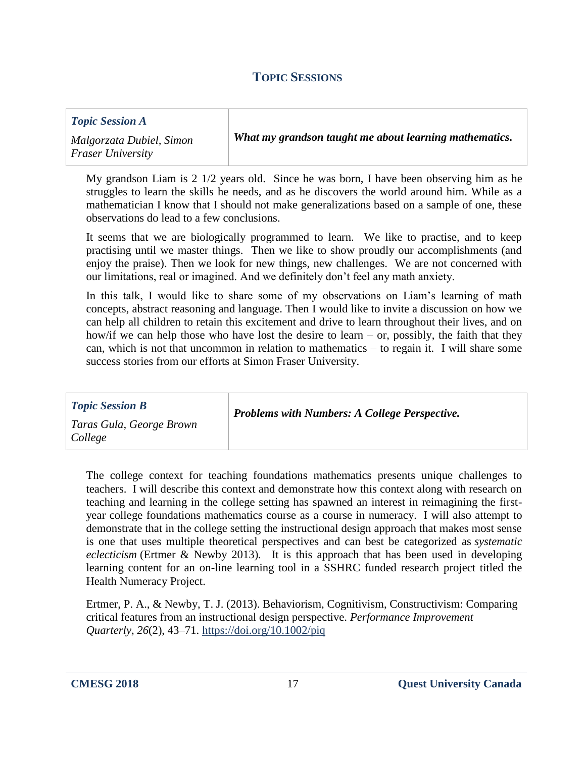## **TOPIC SESSIONS**

| <b>Topic Session A</b>                               |                                                        |
|------------------------------------------------------|--------------------------------------------------------|
| Malgorzata Dubiel, Simon<br><b>Fraser University</b> | What my grandson taught me about learning mathematics. |

My grandson Liam is 2 1/2 years old. Since he was born, I have been observing him as he struggles to learn the skills he needs, and as he discovers the world around him. While as a mathematician I know that I should not make generalizations based on a sample of one, these observations do lead to a few conclusions.

It seems that we are biologically programmed to learn. We like to practise, and to keep practising until we master things. Then we like to show proudly our accomplishments (and enjoy the praise). Then we look for new things, new challenges. We are not concerned with our limitations, real or imagined. And we definitely don't feel any math anxiety.

In this talk, I would like to share some of my observations on Liam's learning of math concepts, abstract reasoning and language. Then I would like to invite a discussion on how we can help all children to retain this excitement and drive to learn throughout their lives, and on how/if we can help those who have lost the desire to learn – or, possibly, the faith that they can, which is not that uncommon in relation to mathematics – to regain it. I will share some success stories from our efforts at Simon Fraser University.

| <b>Topic Session B</b>              | <b>Problems with Numbers: A College Perspective.</b> |
|-------------------------------------|------------------------------------------------------|
| Taras Gula, George Brown<br>College |                                                      |

The college context for teaching foundations mathematics presents unique challenges to teachers. I will describe this context and demonstrate how this context along with research on teaching and learning in the college setting has spawned an interest in reimagining the firstyear college foundations mathematics course as a course in numeracy. I will also attempt to demonstrate that in the college setting the instructional design approach that makes most sense is one that uses multiple theoretical perspectives and can best be categorized as *systematic eclecticism* (Ertmer & Newby 2013)*.* It is this approach that has been used in developing learning content for an on-line learning tool in a SSHRC funded research project titled the Health Numeracy Project.

Ertmer, P. A., & Newby, T. J. (2013). Behaviorism, Cognitivism, Constructivism: Comparing critical features from an instructional design perspective. *Performance Improvement Quarterly*, *26*(2), 43–71. [https://doi.org/10.1002/piq](https://eur02.safelinks.protection.outlook.com/?url=https%3A%2F%2Fdoi.org%2F10.1002%2Fpiq&data=02%7C01%7C%7Cb6885c2216f345dbf38008d57adce359%7C84df9e7fe9f640afb435aaaaaaaaaaaa%7C1%7C0%7C636550011474768798&sdata=ItgR0QYTt55K3VJmuNL4B%2Bn1OCjuJEy0FR9ePf2EQm0%3D&reserved=0)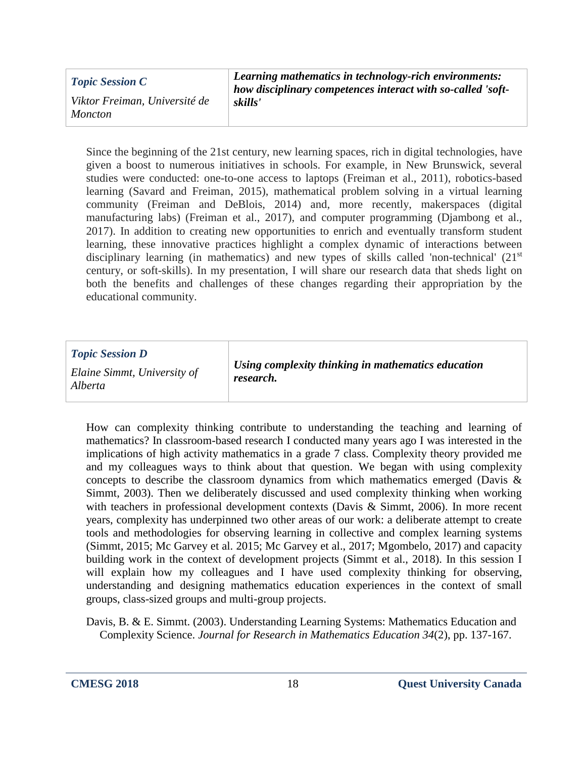| <b>Topic Session C</b>                          | Learning mathematics in technology-rich environments:<br>how disciplinary competences interact with so-called 'soft- |
|-------------------------------------------------|----------------------------------------------------------------------------------------------------------------------|
| Viktor Freiman, Université de<br><i>Moncton</i> | skills'                                                                                                              |

Since the beginning of the 21st century, new learning spaces, rich in digital technologies, have given a boost to numerous initiatives in schools. For example, in New Brunswick, several studies were conducted: one-to-one access to laptops (Freiman et al., 2011), robotics-based learning (Savard and Freiman, 2015), mathematical problem solving in a virtual learning community (Freiman and DeBlois, 2014) and, more recently, makerspaces (digital manufacturing labs) (Freiman et al., 2017), and computer programming (Djambong et al., 2017). In addition to creating new opportunities to enrich and eventually transform student learning, these innovative practices highlight a complex dynamic of interactions between disciplinary learning (in mathematics) and new types of skills called 'non-technical' (21<sup>st</sup>) century, or soft-skills). In my presentation, I will share our research data that sheds light on both the benefits and challenges of these changes regarding their appropriation by the educational community.

| <b>Topic Session D</b><br>Elaine Simmt, University of<br>Alberta | Using complexity thinking in mathematics education<br>research. |
|------------------------------------------------------------------|-----------------------------------------------------------------|
|------------------------------------------------------------------|-----------------------------------------------------------------|

How can complexity thinking contribute to understanding the teaching and learning of mathematics? In classroom-based research I conducted many years ago I was interested in the implications of high activity mathematics in a grade 7 class. Complexity theory provided me and my colleagues ways to think about that question. We began with using complexity concepts to describe the classroom dynamics from which mathematics emerged (Davis & Simmt, 2003). Then we deliberately discussed and used complexity thinking when working with teachers in professional development contexts (Davis & Simmt, 2006). In more recent years, complexity has underpinned two other areas of our work: a deliberate attempt to create tools and methodologies for observing learning in collective and complex learning systems (Simmt, 2015; Mc Garvey et al. 2015; Mc Garvey et al., 2017; Mgombelo, 2017) and capacity building work in the context of development projects (Simmt et al., 2018). In this session I will explain how my colleagues and I have used complexity thinking for observing, understanding and designing mathematics education experiences in the context of small groups, class-sized groups and multi-group projects.

Davis, B. & E. Simmt. (2003). Understanding Learning Systems: Mathematics Education and Complexity Science. *Journal for Research in Mathematics Education 34*(2), pp. 137-167.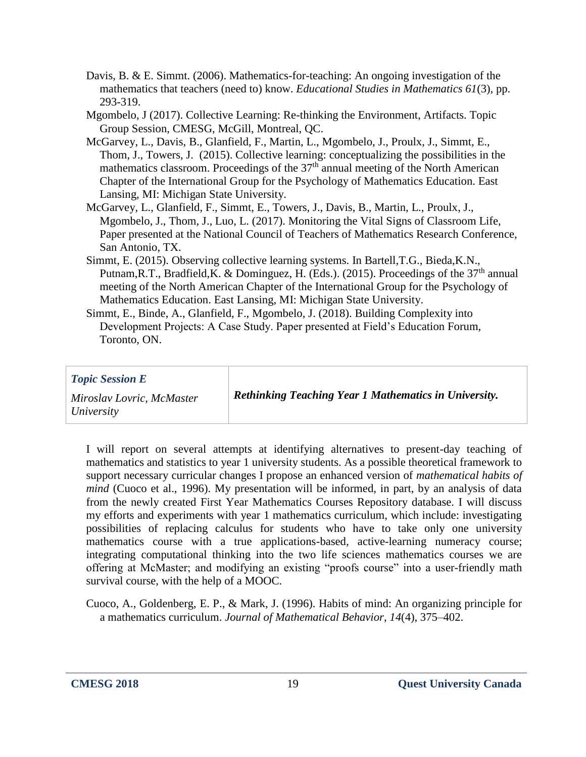- Davis, B. & E. Simmt. (2006). Mathematics-for-teaching: An ongoing investigation of the mathematics that teachers (need to) know. *Educational Studies in Mathematics 61*(3), pp. 293-319.
- Mgombelo, J (2017). Collective Learning: Re-thinking the Environment, Artifacts. Topic Group Session, CMESG, McGill, Montreal, QC.
- McGarvey, L., Davis, B., Glanfield, F., Martin, L., Mgombelo, J., Proulx, J., Simmt, E., Thom, J., Towers, J. (2015). Collective learning: conceptualizing the possibilities in the mathematics classroom. Proceedings of the  $37<sup>th</sup>$  annual meeting of the North American Chapter of the International Group for the Psychology of Mathematics Education. East Lansing, MI: Michigan State University.
- McGarvey, L., Glanfield, F., Simmt, E., Towers, J., Davis, B., Martin, L., Proulx, J., Mgombelo, J., Thom, J., Luo, L. (2017). Monitoring the Vital Signs of Classroom Life, Paper presented at the National Council of Teachers of Mathematics Research Conference, San Antonio, TX.
- Simmt, E. (2015). Observing collective learning systems. In Bartell,T.G., Bieda,K.N., Putnam, R.T., Bradfield, K. & Dominguez, H. (Eds.). (2015). Proceedings of the  $37<sup>th</sup>$  annual meeting of the North American Chapter of the International Group for the Psychology of Mathematics Education. East Lansing, MI: Michigan State University.
- Simmt, E., Binde, A., Glanfield, F., Mgombelo, J. (2018). Building Complexity into Development Projects: A Case Study. Paper presented at Field's Education Forum, Toronto, ON.

I will report on several attempts at identifying alternatives to present-day teaching of mathematics and statistics to year 1 university students. As a possible theoretical framework to support necessary curricular changes I propose an enhanced version of *mathematical habits of mind* (Cuoco et al., 1996). My presentation will be informed, in part, by an analysis of data from the newly created First Year Mathematics Courses Repository database. I will discuss my efforts and experiments with year 1 mathematics curriculum, which include: investigating possibilities of replacing calculus for students who have to take only one university mathematics course with a true applications-based, active-learning numeracy course; integrating computational thinking into the two life sciences mathematics courses we are offering at McMaster; and modifying an existing "proofs course" into a user-friendly math survival course, with the help of a MOOC.

Cuoco, A., Goldenberg, E. P., & Mark, J. (1996). Habits of mind: An organizing principle for a mathematics curriculum. *Journal of Mathematical Behavior*, *14*(4), 375–402.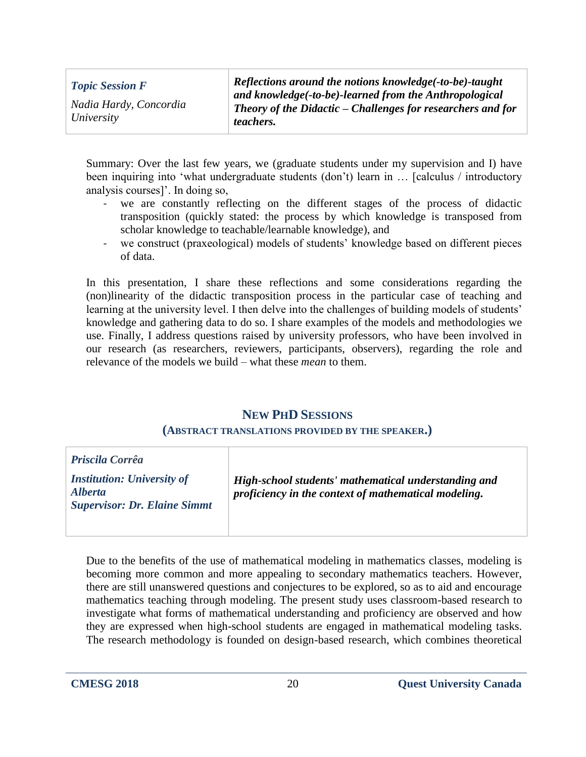| <b>Topic Session F</b>               |  |
|--------------------------------------|--|
| Nadia Hardy, Concordia<br>University |  |

*Reflections around the notions knowledge(-to-be)-taught and knowledge(-to-be)-learned from the Anthropological Theory of the Didactic – Challenges for researchers and for teachers.*

Summary: Over the last few years, we (graduate students under my supervision and I) have been inquiring into 'what undergraduate students (don't) learn in ... [calculus / introductory analysis courses]'. In doing so,

- we are constantly reflecting on the different stages of the process of didactic transposition (quickly stated: the process by which knowledge is transposed from scholar knowledge to teachable/learnable knowledge), and
- we construct (praxeological) models of students' knowledge based on different pieces of data.

In this presentation, I share these reflections and some considerations regarding the (non)linearity of the didactic transposition process in the particular case of teaching and learning at the university level. I then delve into the challenges of building models of students' knowledge and gathering data to do so. I share examples of the models and methodologies we use. Finally, I address questions raised by university professors, who have been involved in our research (as researchers, reviewers, participants, observers), regarding the role and relevance of the models we build – what these *mean* to them.

## **NEW PHD SESSIONS**

#### **(ABSTRACT TRANSLATIONS PROVIDED BY THE SPEAKER.)**

| <b>Priscila Corrêa</b>                                                                     |                                                                                                              |
|--------------------------------------------------------------------------------------------|--------------------------------------------------------------------------------------------------------------|
| <b>Institution: University of</b><br><i>Alberta</i><br><b>Supervisor: Dr. Elaine Simmt</b> | High-school students' mathematical understanding and<br>proficiency in the context of mathematical modeling. |

Due to the benefits of the use of mathematical modeling in mathematics classes, modeling is becoming more common and more appealing to secondary mathematics teachers. However, there are still unanswered questions and conjectures to be explored, so as to aid and encourage mathematics teaching through modeling. The present study uses classroom-based research to investigate what forms of mathematical understanding and proficiency are observed and how they are expressed when high-school students are engaged in mathematical modeling tasks. The research methodology is founded on design-based research, which combines theoretical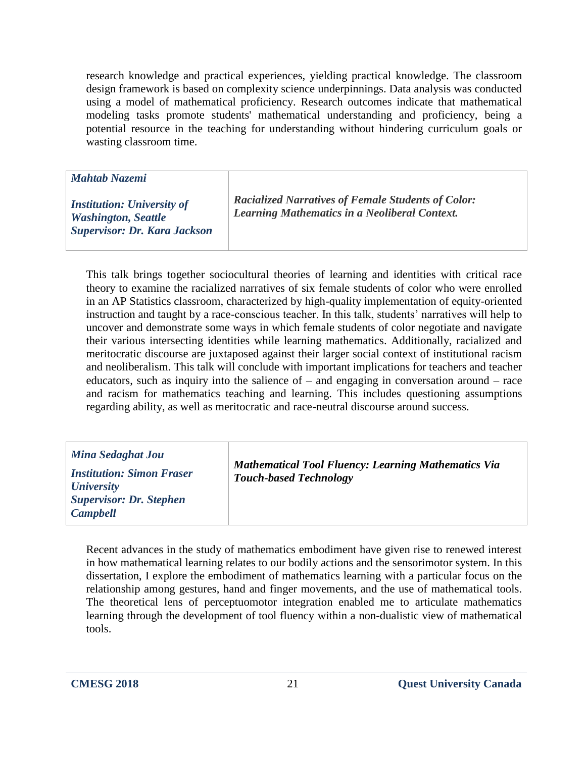research knowledge and practical experiences, yielding practical knowledge. The classroom design framework is based on complexity science underpinnings. Data analysis was conducted using a model of mathematical proficiency. Research outcomes indicate that mathematical modeling tasks promote students' mathematical understanding and proficiency, being a potential resource in the teaching for understanding without hindering curriculum goals or wasting classroom time.

*Mahtab Nazemi*

*Institution: University of Washington, Seattle Supervisor: Dr. Kara Jackson* *Racialized Narratives of Female Students of Color: Learning Mathematics in a Neoliberal Context.*

This talk brings together sociocultural theories of learning and identities with critical race theory to examine the racialized narratives of six female students of color who were enrolled in an AP Statistics classroom, characterized by high-quality implementation of equity-oriented instruction and taught by a race-conscious teacher. In this talk, students' narratives will help to uncover and demonstrate some ways in which female students of color negotiate and navigate their various intersecting identities while learning mathematics. Additionally, racialized and meritocratic discourse are juxtaposed against their larger social context of institutional racism and neoliberalism. This talk will conclude with important implications for teachers and teacher educators, such as inquiry into the salience of  $-$  and engaging in conversation around  $-$  race and racism for mathematics teaching and learning. This includes questioning assumptions regarding ability, as well as meritocratic and race-neutral discourse around success.

| Mina Sedaghat Jou<br><b>Institution: Simon Fraser</b><br><i>University</i> | <b>Mathematical Tool Fluency: Learning Mathematics Via</b><br><b>Touch-based Technology</b> |
|----------------------------------------------------------------------------|---------------------------------------------------------------------------------------------|
| <b>Supervisor: Dr. Stephen</b><br><b>Campbell</b>                          |                                                                                             |

Recent advances in the study of mathematics embodiment have given rise to renewed interest in how mathematical learning relates to our bodily actions and the sensorimotor system. In this dissertation, I explore the embodiment of mathematics learning with a particular focus on the relationship among gestures, hand and finger movements, and the use of mathematical tools. The theoretical lens of perceptuomotor integration enabled me to articulate mathematics learning through the development of tool fluency within a non-dualistic view of mathematical tools.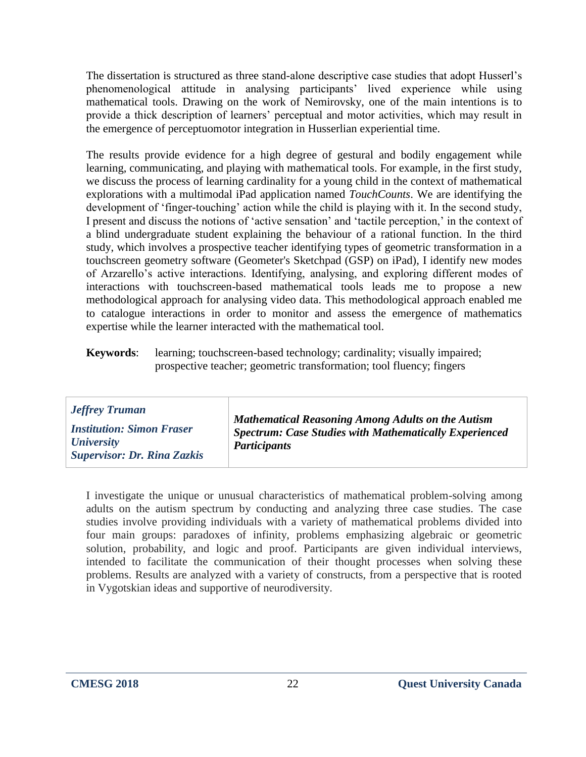The dissertation is structured as three stand-alone descriptive case studies that adopt Husserl's phenomenological attitude in analysing participants' lived experience while using mathematical tools. Drawing on the work of Nemirovsky, one of the main intentions is to provide a thick description of learners' perceptual and motor activities, which may result in the emergence of perceptuomotor integration in Husserlian experiential time.

The results provide evidence for a high degree of gestural and bodily engagement while learning, communicating, and playing with mathematical tools. For example, in the first study, we discuss the process of learning cardinality for a young child in the context of mathematical explorations with a multimodal iPad application named *TouchCounts*. We are identifying the development of 'finger-touching' action while the child is playing with it. In the second study, I present and discuss the notions of 'active sensation' and 'tactile perception,' in the context of a blind undergraduate student explaining the behaviour of a rational function. In the third study, which involves a prospective teacher identifying types of geometric transformation in a touchscreen geometry software (Geometer's Sketchpad (GSP) on iPad), I identify new modes of Arzarello's active interactions. Identifying, analysing, and exploring different modes of interactions with touchscreen-based mathematical tools leads me to propose a new methodological approach for analysing video data. This methodological approach enabled me to catalogue interactions in order to monitor and assess the emergence of mathematics expertise while the learner interacted with the mathematical tool.

**Keywords**: learning; touchscreen-based technology; cardinality; visually impaired; prospective teacher; geometric transformation; tool fluency; fingers

| <b>Jeffrey Truman</b><br><b>Institution: Simon Fraser</b><br><b><i>University</i></b><br><b>Supervisor: Dr. Rina Zazkis</b> | <b>Mathematical Reasoning Among Adults on the Autism</b><br><b>Spectrum: Case Studies with Mathematically Experienced</b><br><b>Participants</b> |
|-----------------------------------------------------------------------------------------------------------------------------|--------------------------------------------------------------------------------------------------------------------------------------------------|
|-----------------------------------------------------------------------------------------------------------------------------|--------------------------------------------------------------------------------------------------------------------------------------------------|

I investigate the unique or unusual characteristics of mathematical problem-solving among adults on the autism spectrum by conducting and analyzing three case studies. The case studies involve providing individuals with a variety of mathematical problems divided into four main groups: paradoxes of infinity, problems emphasizing algebraic or geometric solution, probability, and logic and proof. Participants are given individual interviews, intended to facilitate the communication of their thought processes when solving these problems. Results are analyzed with a variety of constructs, from a perspective that is rooted in Vygotskian ideas and supportive of neurodiversity.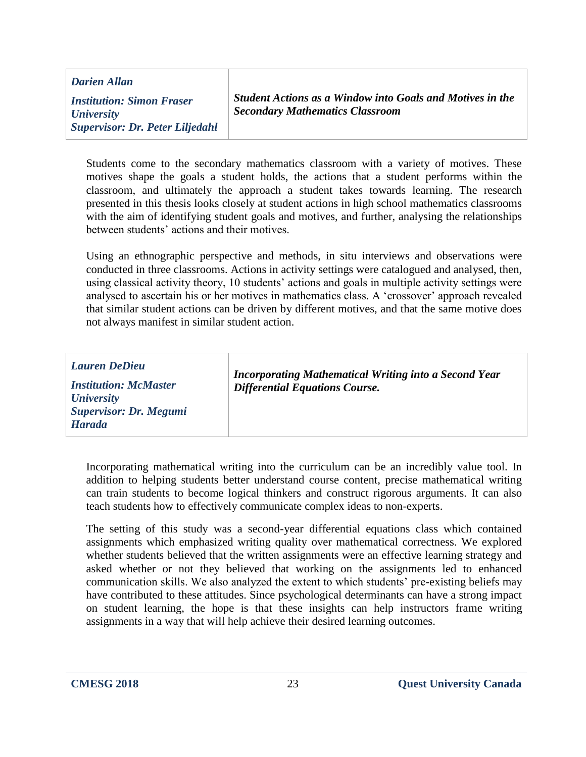*Darien Allan Institution: Simon Fraser University Supervisor: Dr. Peter Liljedahl*

*Student Actions as a Window into Goals and Motives in the Secondary Mathematics Classroom*

Students come to the secondary mathematics classroom with a variety of motives. These motives shape the goals a student holds, the actions that a student performs within the classroom, and ultimately the approach a student takes towards learning. The research presented in this thesis looks closely at student actions in high school mathematics classrooms with the aim of identifying student goals and motives, and further, analysing the relationships between students' actions and their motives.

Using an ethnographic perspective and methods, in situ interviews and observations were conducted in three classrooms. Actions in activity settings were catalogued and analysed, then, using classical activity theory, 10 students' actions and goals in multiple activity settings were analysed to ascertain his or her motives in mathematics class. A 'crossover' approach revealed that similar student actions can be driven by different motives, and that the same motive does not always manifest in similar student action.

| <b>Lauren DeDieu</b><br><b>Institution: McMaster</b><br><b><i>University</i></b><br><b>Supervisor: Dr. Megumi</b><br><b>Harada</b> | Incorporating Mathematical Writing into a Second Year<br><b>Differential Equations Course.</b> |
|------------------------------------------------------------------------------------------------------------------------------------|------------------------------------------------------------------------------------------------|
|                                                                                                                                    |                                                                                                |

Incorporating mathematical writing into the curriculum can be an incredibly value tool. In addition to helping students better understand course content, precise mathematical writing can train students to become logical thinkers and construct rigorous arguments. It can also teach students how to effectively communicate complex ideas to non-experts.

The setting of this study was a second-year differential equations class which contained assignments which emphasized writing quality over mathematical correctness. We explored whether students believed that the written assignments were an effective learning strategy and asked whether or not they believed that working on the assignments led to enhanced communication skills. We also analyzed the extent to which students' pre-existing beliefs may have contributed to these attitudes. Since psychological determinants can have a strong impact on student learning, the hope is that these insights can help instructors frame writing assignments in a way that will help achieve their desired learning outcomes.